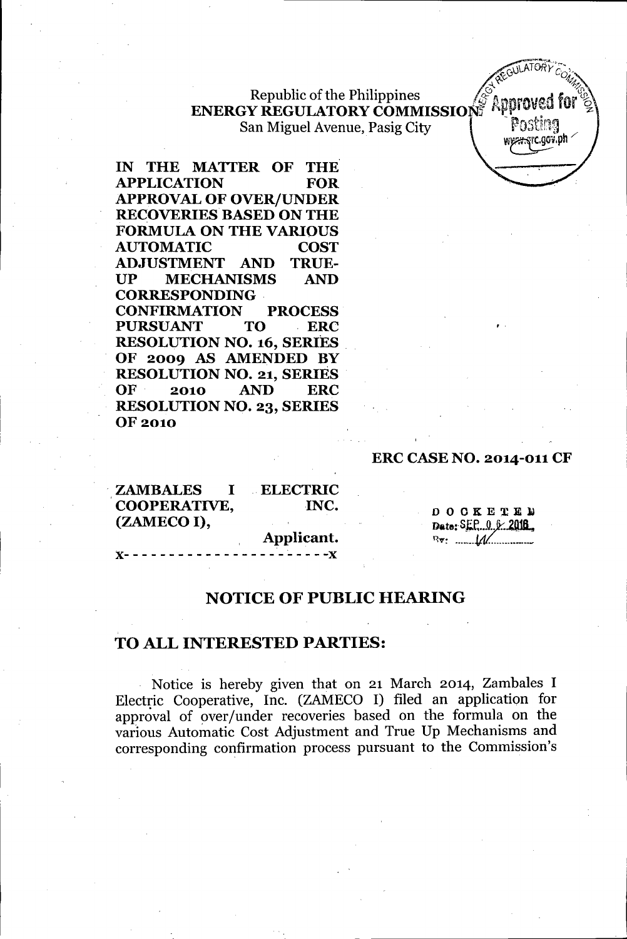Republic of the Philippines  $\sqrt{\mathscr{E}}_{\mathbf{A}}$  . A sequel for  $\mathscr{E}$ **ENERGY REGULATORY COMMISSION:** KILLITURE IOF ~ San Miguel Avenue, Pasig City | POSUNG

**IN THE MATfER OF** THE' **APPLICATION FOR APPROVAL OF OVER/UNDER RECOVERIES BASED ON THE FORMULA ON THE VARIOUS AUTOMATIC COST ADJUSTMENT AND TRUE-UP MECHANISMS AND CORRESPONDING . CONFIRMATION PROCESS PURSUANT TO ERe RESOLUTION NO. 16, SERIES . OF 2009 AS AMENDED BY RESOLUTION NO. 21, SERIES OF 2010 AND ERC RESOLUTION NO. 23, SERIES** OF 2010

#### **ERC CASE NO. 2014-011 CF**

,.

 $\overline{GULATON}$  $\Delta \chi$ ,  $\eta_{\eta_{\alpha}}$ 

w<del>est s</del>ic.gov.ph ·

| <b>ZAMBALES</b> I              | <b>ELECTRIC</b> |                                                  |
|--------------------------------|-----------------|--------------------------------------------------|
| COOPERATIVE,                   | INC.            | <b>DOCKETED</b>                                  |
| (ZAMECO I),                    |                 | Date: $SEF_0.0.0.2016$                           |
|                                | Applicant.      | $\mathbb{R}$ $\mathbb{R}$ $\cdots$ $\mathcal{M}$ |
| $X-$ --------------------- $X$ |                 |                                                  |

### **NOTICE OF PUBLIC HEARING**

## **TO ALL INTERESTED PARTIES:**

Notice is hereby given that on 21 March 2014, Zambales I Electric Cooperative, Inc. (ZAMECO I) filed an application for approval of over/under recoveries based on the formula on the various Automatic Cost Adjustment and True Up Mechanisms and corresponding confirmation process pursuant to the Commission's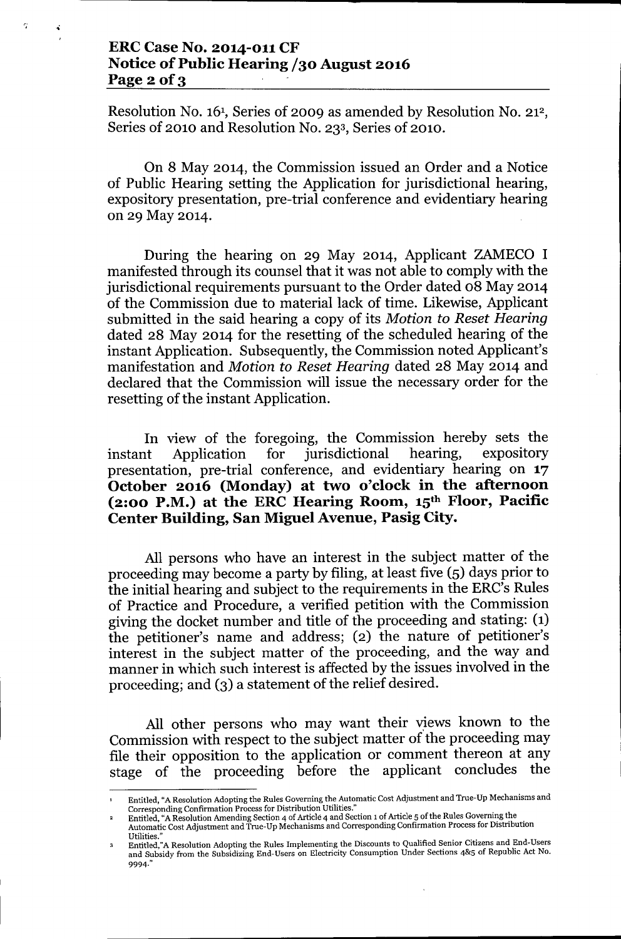# ERCCase No. 2014-011 CF Notice of Public Hearing /30 August 2016 Page  $2$  of  $3$

 $\tilde{r}$  and  $\tilde{r}$ 

Resolution No. 16<sup>1</sup>, Series of 2009 as amended by Resolution No. 21<sup>2</sup>, Series of 2010 and Resolution No. 233, Series of 2010.

On 8 May 2014, the Commission issued an Order and a Notice of Public Hearing setting the Application for jurisdictional hearing, expository presentation, pre-trial conference and evidentiary hearing on 29 May 2014.

During the hearing on 29 May 2014, Applicant ZAMECO I manifested through its counsel that it was not able to comply with the jurisdictional requirements pursuant to the Order dated 08 May 2014 of the Commission due to material lack of time. Likewise, Applicant submitted in the said hearing a copy of its *Motion to Reset Hearing* dated 28 May 2014 for the resetting of the scheduled hearing of the instant Application. Subsequently, the Commission noted Applicant's manifestation and *Motion to Reset Hearing* dated 28 May 2014 and declared that the Commission will issue the necessary order for the resetting of the instant Application.

In view of the foregoing, the Commission hereby sets the instant Application for jurisdictional hearing, expository presentation, pre-trial conference, and evidentiary hearing on 17 October 2016 (Monday) at two o'clock in the afternoon (2:00 P.M.) at the ERC Hearing Room,  $15<sup>th</sup>$  Floor, Pacific Center Building, San Miguel Avenue, Pasig City.

All persons who have an interest in the subject matter of the proceeding may become a party by filing, at least five (5) days prior to the initial hearing and subject to the requirements in the ERC's Rules of Practice and Procedure, a verified petition with the Commission giving the docket number and title of the proceeding and stating: (1) the petitioner's name and address; (2) the nature of petitioner's interest in the subject matter of the proceeding, and the way and manner in which such interest is affected by the issues involved in the proceeding; and (3) a statement of the relief desired.

All other persons who may want their views known to the Commission with respect to the subject matter of the proceeding may file their opposition to the application or comment thereon at any stage of the proceeding before the applicant concludes the

Entitled, "A Resolution Adopting the Rules Governing the Automatic Cost Adjustment and True-Up Mechanisms and Corresponding Confirmation Process for Distribution Utilities."

Entitled, "A Resolution Amending Section 4 of Article 4 and Section 1of Article 5 of the Rules Governing the

Automatic Cost Adjustment and True-Up Mechanisms and Corresponding Confirmation Process for Distribution Utilities.

Entitled,"A Resolution Adopting the Rules Implementing the Discounts to Qualified Senior Citizens and End-Users and Subsidy from the Subsidizing End-Users on Electricity Consumption Under Sections 4&5 of Republic Act No. 9994."